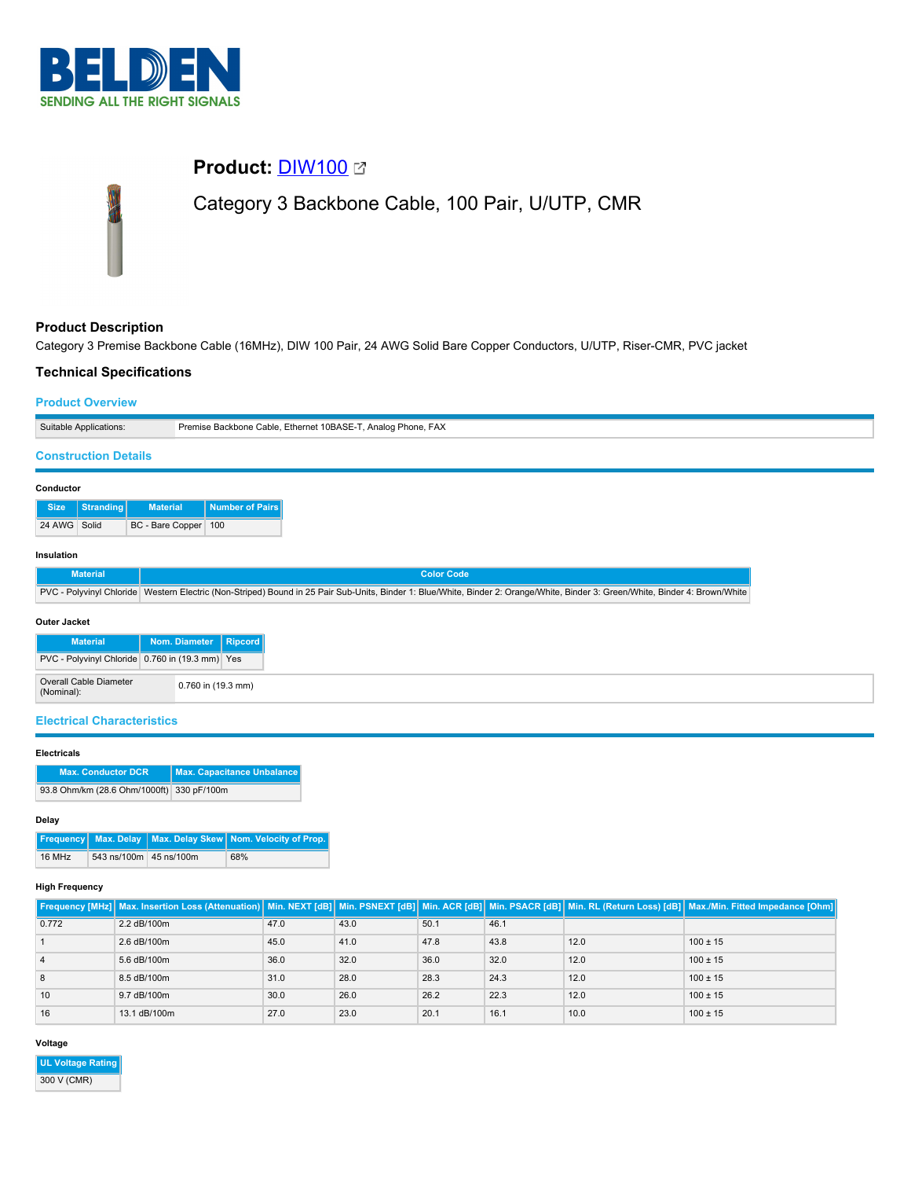

# **Product:** [DIW100](https://catalog.belden.com/index.cfm?event=pd&p=PF_DIW100&tab=downloads) Category 3 Backbone Cable, 100 Pair, U/UTP, CMR

# **Product Description**

Category 3 Premise Backbone Cable (16MHz), DIW 100 Pair, 24 AWG Solid Bare Copper Conductors, U/UTP, Riser-CMR, PVC jacket

## **Technical Specifications**

### **Product Overview**

| Suitable Applications:      | Premise Backbone Cable, Ethernet 10BASE-T, Analog Phone, FAX |
|-----------------------------|--------------------------------------------------------------|
|                             |                                                              |
| <b>Construction Details</b> |                                                              |

# **Conductor**

|              | Size Stranding | <b>Material</b>        | <b>Number of Pairs</b> |  |  |
|--------------|----------------|------------------------|------------------------|--|--|
| 24 AWG Solid |                | BC - Bare Copper   100 |                        |  |  |

#### **Insulation**

| <b>Material</b> | 'Color Code                                                                                                                                                                      |
|-----------------|----------------------------------------------------------------------------------------------------------------------------------------------------------------------------------|
|                 | PVC - Polyvinyl Chloride   Western Electric (Non-Striped) Bound in 25 Pair Sub-Units, Binder 1: Blue/White, Binder 2: Orange/White, Binder 3: Green/White, Binder 4: Brown/White |

#### **Outer Jacket**

| <b>Material</b>                                 | Nom. Diameter Ripcord |  |
|-------------------------------------------------|-----------------------|--|
| PVC - Polyvinyl Chloride 0.760 in (19.3 mm) Yes |                       |  |
| Overall Cable Diameter<br>(Nominal):            | 0.760 in (19.3 mm)    |  |

## **Electrical Characteristics**

## **Electricals**

| <b>Max. Conductor DCR</b>                 | Max. Capacitance Unbalance |
|-------------------------------------------|----------------------------|
| 93.8 Ohm/km (28.6 Ohm/1000ft) 330 pF/100m |                            |

#### **Delay**

|        |                        | <b>Frequency</b> Max. Delay Max. Delay Skew Nom. Velocity of Prop. |
|--------|------------------------|--------------------------------------------------------------------|
| 16 MHz | 543 ns/100m 45 ns/100m | 68%                                                                |

#### **High Frequency**

|       |              |      |      |      |      |      | Frequency [MHz]   Max. Insertion Loss (Attenuation)   Min. NEXT [dB]   Min. PSNEXT [dB]   Min. ACR [dB]   Min. PSACR [dB]   Min. RL (Return Loss) [dB]   Max./Min. Fitted Impedance [Ohm] |
|-------|--------------|------|------|------|------|------|-------------------------------------------------------------------------------------------------------------------------------------------------------------------------------------------|
| 0.772 | 2.2 dB/100m  | 47.0 | 43.0 | 50.1 | 46.1 |      |                                                                                                                                                                                           |
|       | 2.6 dB/100m  | 45.0 | 41.0 | 47.8 | 43.8 | 12.0 | $100 \pm 15$                                                                                                                                                                              |
|       | 5.6 dB/100m  | 36.0 | 32.0 | 36.0 | 32.0 | 12.0 | $100 \pm 15$                                                                                                                                                                              |
|       | 8.5 dB/100m  | 31.0 | 28.0 | 28.3 | 24.3 | 12.0 | $100 \pm 15$                                                                                                                                                                              |
| 10    | 9.7 dB/100m  | 30.0 | 26.0 | 26.2 | 22.3 | 12.0 | $100 \pm 15$                                                                                                                                                                              |
| 16    | 13.1 dB/100m | 27.0 | 23.0 | 20.1 | 16.1 | 10.0 | $100 \pm 15$                                                                                                                                                                              |

## **Voltage**

**UL Voltage Rating** 300 V (CMR)